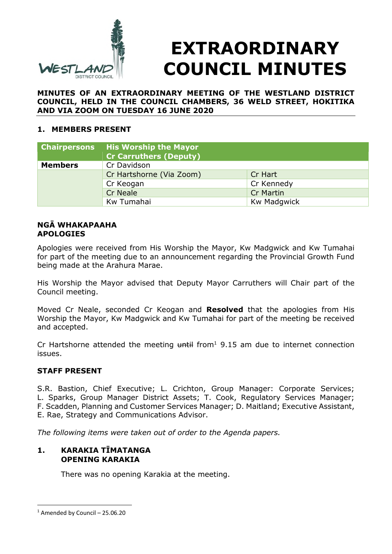

# **EXTRAORDINARY COUNCIL MINUTES**

**MINUTES OF AN EXTRAORDINARY MEETING OF THE WESTLAND DISTRICT COUNCIL, HELD IN THE COUNCIL CHAMBERS, 36 WELD STREET, HOKITIKA AND VIA ZOOM ON TUESDAY 16 JUNE 2020** 

#### **1. MEMBERS PRESENT**

| <b>Chairpersons</b> | <b>His Worship the Mayor</b>  |                    |
|---------------------|-------------------------------|--------------------|
|                     | <b>Cr Carruthers (Deputy)</b> |                    |
| <b>Members</b>      | Cr Davidson                   |                    |
|                     | Cr Hartshorne (Via Zoom)      | Cr Hart            |
|                     | Cr Keogan                     | Cr Kennedy         |
|                     | <b>Cr Neale</b>               | <b>Cr Martin</b>   |
|                     | Kw Tumahai                    | <b>Kw Madgwick</b> |

#### **NGĀ WHAKAPAAHA APOLOGIES**

Apologies were received from His Worship the Mayor, Kw Madgwick and Kw Tumahai for part of the meeting due to an announcement regarding the Provincial Growth Fund being made at the Arahura Marae.

His Worship the Mayor advised that Deputy Mayor Carruthers will Chair part of the Council meeting.

Moved Cr Neale, seconded Cr Keogan and **Resolved** that the apologies from His Worship the Mayor, Kw Madgwick and Kw Tumahai for part of the meeting be received and accepted.

Cr Hartshorne attended the meeting  $untilt{t}$  from<sup>1</sup> 9.15 am due to internet connection issues.

#### **STAFF PRESENT**

S.R. Bastion, Chief Executive; L. Crichton, Group Manager: Corporate Services; L. Sparks, Group Manager District Assets; T. Cook, Regulatory Services Manager; F. Scadden, Planning and Customer Services Manager; D. Maitland; Executive Assistant, E. Rae, Strategy and Communications Advisor.

*The following items were taken out of order to the Agenda papers.* 

#### **1. KARAKIA TĪMATANGA OPENING KARAKIA**

There was no opening Karakia at the meeting.

 $1$  Amended by Council – 25.06.20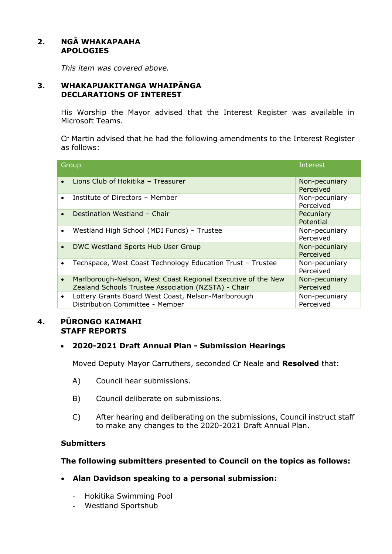#### **2. NGĀ WHAKAPAAHA APOLOGIES**

*This item was covered above.* 

#### **3. WHAKAPUAKITANGA WHAIPĀNGA DECLARATIONS OF INTEREST**

His Worship the Mayor advised that the Interest Register was available in Microsoft Teams.

Cr Martin advised that he had the following amendments to the Interest Register as follows:

| Group     |                                                                                                                     | <b>Interest</b>            |
|-----------|---------------------------------------------------------------------------------------------------------------------|----------------------------|
|           | Lions Club of Hokitika - Treasurer                                                                                  | Non-pecuniary<br>Perceived |
|           | Institute of Directors - Member                                                                                     | Non-pecuniary<br>Perceived |
| $\bullet$ | Destination Westland - Chair                                                                                        | Pecuniary<br>Potential     |
| $\bullet$ | Westland High School (MDI Funds) - Trustee                                                                          | Non-pecuniary<br>Perceived |
| $\bullet$ | DWC Westland Sports Hub User Group                                                                                  | Non-pecuniary<br>Perceived |
| ٠         | Techspace, West Coast Technology Education Trust - Trustee                                                          | Non-pecuniary<br>Perceived |
| $\bullet$ | Marlborough-Nelson, West Coast Regional Executive of the New<br>Zealand Schools Trustee Association (NZSTA) - Chair | Non-pecuniary<br>Perceived |
| $\bullet$ | Lottery Grants Board West Coast, Nelson-Marlborough<br>Distribution Committee - Member                              | Non-pecuniary<br>Perceived |

#### **4. PŪRONGO KAIMAHI STAFF REPORTS**

#### **2020-2021 Draft Annual Plan - Submission Hearings**

Moved Deputy Mayor Carruthers, seconded Cr Neale and **Resolved** that:

- A) Council hear submissions.
- B) Council deliberate on submissions.
- C) After hearing and deliberating on the submissions, Council instruct staff to make any changes to the 2020-2021 Draft Annual Plan.

#### **Submitters**

#### **The following submitters presented to Council on the topics as follows:**

- **Alan Davidson speaking to a personal submission:** 
	- Hokitika Swimming Pool
	- Westland Sportshub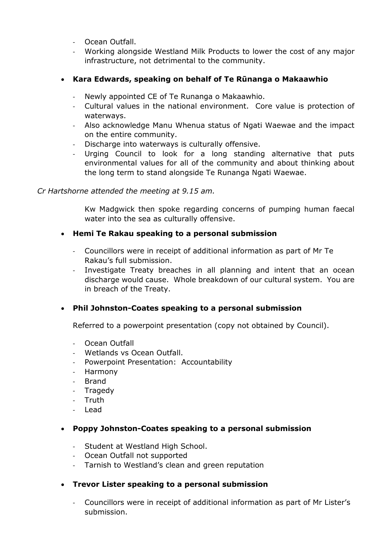- Ocean Outfall.
- Working alongside Westland Milk Products to lower the cost of any major infrastructure, not detrimental to the community.

# **Kara Edwards, speaking on behalf of Te Rūnanga o Makaawhio**

- Newly appointed CE of Te Runanga o Makaawhio.
- Cultural values in the national environment. Core value is protection of waterways.
- Also acknowledge Manu Whenua status of Ngati Waewae and the impact on the entire community.
- Discharge into waterways is culturally offensive.
- Urging Council to look for a long standing alternative that puts environmental values for all of the community and about thinking about the long term to stand alongside Te Runanga Ngati Waewae.

#### *Cr Hartshorne attended the meeting at 9.15 am.*

Kw Madgwick then spoke regarding concerns of pumping human faecal water into the sea as culturally offensive.

#### **Hemi Te Rakau speaking to a personal submission**

- Councillors were in receipt of additional information as part of Mr Te Rakau's full submission.
- Investigate Treaty breaches in all planning and intent that an ocean discharge would cause. Whole breakdown of our cultural system. You are in breach of the Treaty.

# **Phil Johnston-Coates speaking to a personal submission**

Referred to a powerpoint presentation (copy not obtained by Council).

- Ocean Outfall
- Wetlands vs Ocean Outfall.
- Powerpoint Presentation: Accountability
- Harmony
- Brand
- Tragedy
- Truth
- Lead

# **Poppy Johnston-Coates speaking to a personal submission**

- Student at Westland High School.
- Ocean Outfall not supported
- Tarnish to Westland's clean and green reputation

# **Trevor Lister speaking to a personal submission**

- Councillors were in receipt of additional information as part of Mr Lister's submission.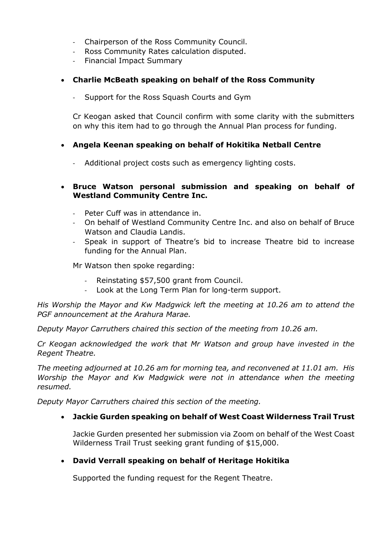- Chairperson of the Ross Community Council.
- Ross Community Rates calculation disputed.
- Financial Impact Summary
- **Charlie McBeath speaking on behalf of the Ross Community** 
	- Support for the Ross Squash Courts and Gym

Cr Keogan asked that Council confirm with some clarity with the submitters on why this item had to go through the Annual Plan process for funding.

#### **Angela Keenan speaking on behalf of Hokitika Netball Centre**

- Additional project costs such as emergency lighting costs.

#### **Bruce Watson personal submission and speaking on behalf of Westland Community Centre Inc.**

- Peter Cuff was in attendance in.
- On behalf of Westland Community Centre Inc. and also on behalf of Bruce Watson and Claudia Landis.
- Speak in support of Theatre's bid to increase Theatre bid to increase funding for the Annual Plan.

Mr Watson then spoke regarding:

- Reinstating \$57,500 grant from Council.
- Look at the Long Term Plan for long-term support.

*His Worship the Mayor and Kw Madgwick left the meeting at 10.26 am to attend the PGF announcement at the Arahura Marae.* 

*Deputy Mayor Carruthers chaired this section of the meeting from 10.26 am.* 

*Cr Keogan acknowledged the work that Mr Watson and group have invested in the Regent Theatre.* 

*The meeting adjourned at 10.26 am for morning tea, and reconvened at 11.01 am. His Worship the Mayor and Kw Madgwick were not in attendance when the meeting resumed.* 

*Deputy Mayor Carruthers chaired this section of the meeting.* 

#### **Jackie Gurden speaking on behalf of West Coast Wilderness Trail Trust**

Jackie Gurden presented her submission via Zoom on behalf of the West Coast Wilderness Trail Trust seeking grant funding of \$15,000.

# **David Verrall speaking on behalf of Heritage Hokitika**

Supported the funding request for the Regent Theatre.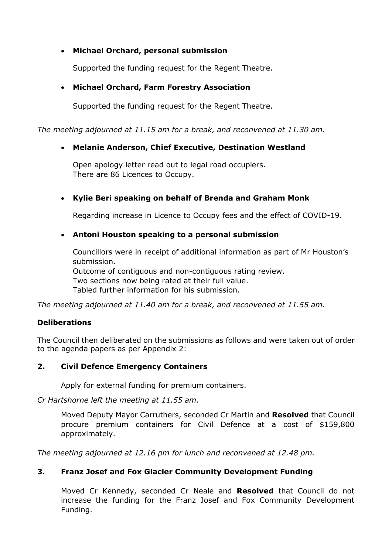# **Michael Orchard, personal submission**

Supported the funding request for the Regent Theatre.

# **Michael Orchard, Farm Forestry Association**

Supported the funding request for the Regent Theatre.

*The meeting adjourned at 11.15 am for a break, and reconvened at 11.30 am.* 

# **Melanie Anderson, Chief Executive, Destination Westland**

Open apology letter read out to legal road occupiers. There are 86 Licences to Occupy.

# **Kylie Beri speaking on behalf of Brenda and Graham Monk**

Regarding increase in Licence to Occupy fees and the effect of COVID-19.

# **Antoni Houston speaking to a personal submission**

Councillors were in receipt of additional information as part of Mr Houston's submission. Outcome of contiguous and non-contiguous rating review. Two sections now being rated at their full value. Tabled further information for his submission.

*The meeting adjourned at 11.40 am for a break, and reconvened at 11.55 am.* 

# **Deliberations**

The Council then deliberated on the submissions as follows and were taken out of order to the agenda papers as per Appendix 2:

# **2. Civil Defence Emergency Containers**

Apply for external funding for premium containers.

*Cr Hartshorne left the meeting at 11.55 am.* 

Moved Deputy Mayor Carruthers, seconded Cr Martin and **Resolved** that Council procure premium containers for Civil Defence at a cost of \$159,800 approximately.

*The meeting adjourned at 12.16 pm for lunch and reconvened at 12.48 pm.* 

# **3. Franz Josef and Fox Glacier Community Development Funding**

Moved Cr Kennedy, seconded Cr Neale and **Resolved** that Council do not increase the funding for the Franz Josef and Fox Community Development Funding.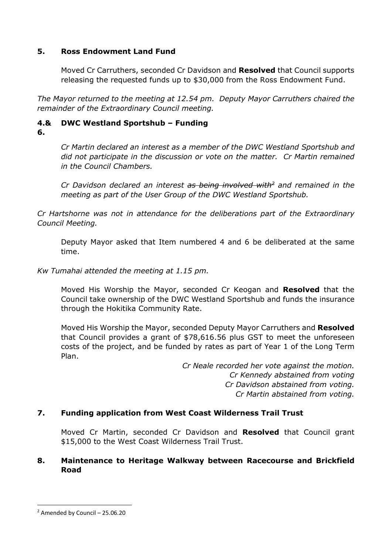#### **5. Ross Endowment Land Fund**

Moved Cr Carruthers, seconded Cr Davidson and **Resolved** that Council supports releasing the requested funds up to \$30,000 from the Ross Endowment Fund.

*The Mayor returned to the meeting at 12.54 pm. Deputy Mayor Carruthers chaired the remainder of the Extraordinary Council meeting.* 

# **4.& DWC Westland Sportshub – Funding**

**6.**

*Cr Martin declared an interest as a member of the DWC Westland Sportshub and did not participate in the discussion or vote on the matter. Cr Martin remained in the Council Chambers.* 

*Cr Davidson declared an interest as being involved with<sup>2</sup> and remained in the meeting as part of the User Group of the DWC Westland Sportshub.* 

*Cr Hartshorne was not in attendance for the deliberations part of the Extraordinary Council Meeting.* 

Deputy Mayor asked that Item numbered 4 and 6 be deliberated at the same time.

*Kw Tumahai attended the meeting at 1.15 pm.* 

Moved His Worship the Mayor, seconded Cr Keogan and **Resolved** that the Council take ownership of the DWC Westland Sportshub and funds the insurance through the Hokitika Community Rate.

Moved His Worship the Mayor, seconded Deputy Mayor Carruthers and **Resolved**  that Council provides a grant of \$78,616.56 plus GST to meet the unforeseen costs of the project, and be funded by rates as part of Year 1 of the Long Term Plan.

> *Cr Neale recorded her vote against the motion. Cr Kennedy abstained from voting Cr Davidson abstained from voting. Cr Martin abstained from voting.*

# **7. Funding application from West Coast Wilderness Trail Trust**

Moved Cr Martin, seconded Cr Davidson and **Resolved** that Council grant \$15,000 to the West Coast Wilderness Trail Trust.

#### **8. Maintenance to Heritage Walkway between Racecourse and Brickfield Road**

 $2$  Amended by Council - 25.06.20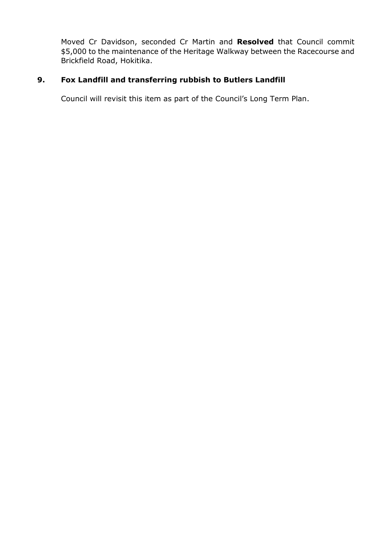Moved Cr Davidson, seconded Cr Martin and **Resolved** that Council commit \$5,000 to the maintenance of the Heritage Walkway between the Racecourse and Brickfield Road, Hokitika.

# **9. Fox Landfill and transferring rubbish to Butlers Landfill**

Council will revisit this item as part of the Council's Long Term Plan.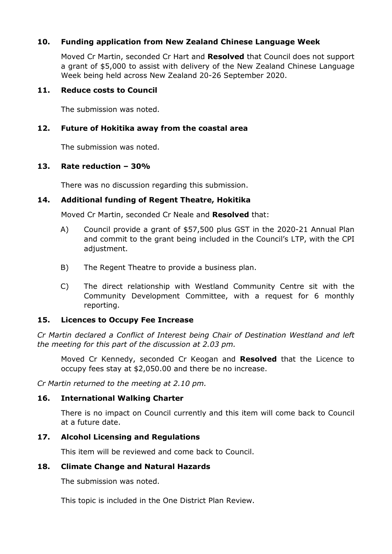#### **10. Funding application from New Zealand Chinese Language Week**

Moved Cr Martin, seconded Cr Hart and **Resolved** that Council does not support a grant of \$5,000 to assist with delivery of the New Zealand Chinese Language Week being held across New Zealand 20-26 September 2020.

#### **11. Reduce costs to Council**

The submission was noted.

#### **12. Future of Hokitika away from the coastal area**

The submission was noted.

#### **13. Rate reduction – 30%**

There was no discussion regarding this submission.

#### **14. Additional funding of Regent Theatre, Hokitika**

Moved Cr Martin, seconded Cr Neale and **Resolved** that:

- A) Council provide a grant of \$57,500 plus GST in the 2020-21 Annual Plan and commit to the grant being included in the Council's LTP, with the CPI adjustment.
- B) The Regent Theatre to provide a business plan.
- C) The direct relationship with Westland Community Centre sit with the Community Development Committee, with a request for 6 monthly reporting.

#### **15. Licences to Occupy Fee Increase**

*Cr Martin declared a Conflict of Interest being Chair of Destination Westland and left the meeting for this part of the discussion at 2.03 pm.* 

Moved Cr Kennedy, seconded Cr Keogan and **Resolved** that the Licence to occupy fees stay at \$2,050.00 and there be no increase.

*Cr Martin returned to the meeting at 2.10 pm.* 

#### **16. International Walking Charter**

There is no impact on Council currently and this item will come back to Council at a future date.

#### **17. Alcohol Licensing and Regulations**

This item will be reviewed and come back to Council.

#### **18. Climate Change and Natural Hazards**

The submission was noted.

This topic is included in the One District Plan Review.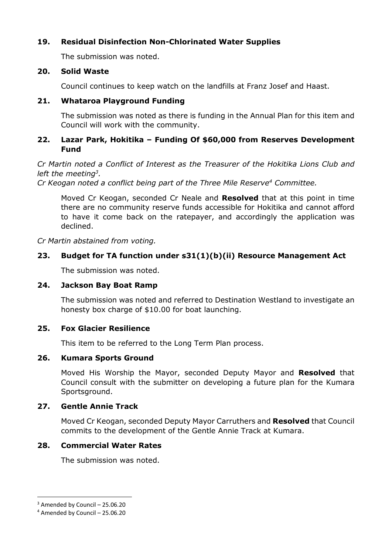# **19. Residual Disinfection Non-Chlorinated Water Supplies**

The submission was noted.

#### **20. Solid Waste**

Council continues to keep watch on the landfills at Franz Josef and Haast.

# **21. Whataroa Playground Funding**

The submission was noted as there is funding in the Annual Plan for this item and Council will work with the community.

### **22. Lazar Park, Hokitika – Funding Of \$60,000 from Reserves Development Fund**

*Cr Martin noted a Conflict of Interest as the Treasurer of the Hokitika Lions Club and left the meeting<sup>3</sup> .* 

*Cr Keogan noted a conflict being part of the Three Mile Reserve<sup>4</sup> Committee.* 

Moved Cr Keogan, seconded Cr Neale and **Resolved** that at this point in time there are no community reserve funds accessible for Hokitika and cannot afford to have it come back on the ratepayer, and accordingly the application was declined.

*Cr Martin abstained from voting.* 

# **23. Budget for TA function under s31(1)(b)(ii) Resource Management Act**

The submission was noted.

# **24. Jackson Bay Boat Ramp**

The submission was noted and referred to Destination Westland to investigate an honesty box charge of \$10.00 for boat launching.

# **25. Fox Glacier Resilience**

This item to be referred to the Long Term Plan process.

# **26. Kumara Sports Ground**

Moved His Worship the Mayor, seconded Deputy Mayor and **Resolved** that Council consult with the submitter on developing a future plan for the Kumara Sportsground.

# **27. Gentle Annie Track**

Moved Cr Keogan, seconded Deputy Mayor Carruthers and **Resolved** that Council commits to the development of the Gentle Annie Track at Kumara.

# **28. Commercial Water Rates**

The submission was noted.

 $3$  Amended by Council - 25.06.20

<sup>4</sup> Amended by Council – 25.06.20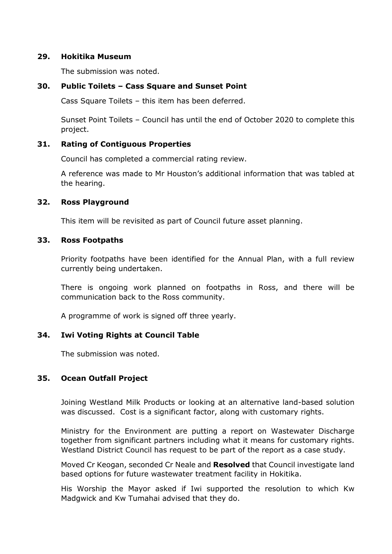#### **29. Hokitika Museum**

The submission was noted.

#### **30. Public Toilets – Cass Square and Sunset Point**

Cass Square Toilets – this item has been deferred.

Sunset Point Toilets – Council has until the end of October 2020 to complete this project.

#### **31. Rating of Contiguous Properties**

Council has completed a commercial rating review.

A reference was made to Mr Houston's additional information that was tabled at the hearing.

#### **32. Ross Playground**

This item will be revisited as part of Council future asset planning.

#### **33. Ross Footpaths**

Priority footpaths have been identified for the Annual Plan, with a full review currently being undertaken.

There is ongoing work planned on footpaths in Ross, and there will be communication back to the Ross community.

A programme of work is signed off three yearly.

#### **34. Iwi Voting Rights at Council Table**

The submission was noted.

#### **35. Ocean Outfall Project**

Joining Westland Milk Products or looking at an alternative land-based solution was discussed. Cost is a significant factor, along with customary rights.

Ministry for the Environment are putting a report on Wastewater Discharge together from significant partners including what it means for customary rights. Westland District Council has request to be part of the report as a case study.

Moved Cr Keogan, seconded Cr Neale and **Resolved** that Council investigate land based options for future wastewater treatment facility in Hokitika.

His Worship the Mayor asked if Iwi supported the resolution to which Kw Madgwick and Kw Tumahai advised that they do.